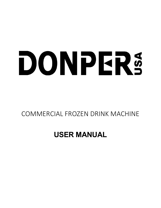# DONPERS

# COMMERCIAL FROZEN DRINK MACHINE

# **USER MANUAL**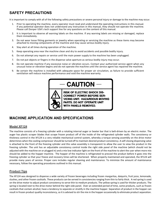# **SAFETY PRECAUTIONS**

It is important to comply with all of the following safety precautions or severe personal injury or damage to the machine may occur.

- 1. Prior to operating the machine, every operator must read and understand the operating instructions in this manual. If any potential operator does not understand any instruction in this manual, they should not operate the machine. Please call Donper USA's tech support line for any questions on the content of this manual.
- 2. It is important to observe all warning labels on the machine. If any warning labels are missing or damaged, replace them immediately.
- 3. Do not wear loose fitting garments or jewelry when operating or servicing the machine as these items may become attached to moving components of the machine and may cause serious bodily injury.
- 4. Stay alert at all times during operation of the machine.
- 5. Keep operating area near the machine clean and dry to avoid accidents and possible bodily injury.
- 6. Do not attempt any repairs or service until the main power supply to the machine has been unplugged.
- 7. Do not put objects or fingers in the dispense valve aperture as serious bodily injury may occur.
- 8. Do not operate machine if any excessive noise or vibration occurs. Contact your authorized service agent when any unusual noise or vibration begins and do not operate the machine until the service agent has repaired the machine.
- 9. Be certain the machine is installed with adequate space for proper air circulation, as failure to provide sufficient ventilation will reduce machine performance and void the machine warranty.



**CONNECT POWER BEFORE SER-VICING UNIT. HAZARDOUS MOVING** PARTS. DO NOT OPERATE UNIT WITH PANELS REMOVED.

# **MACHINE APPLICATION AND SPECIFICATIONS**

#### **Model XF124**

The machine consists of a freezing cylinder with a rotating internal auger or beater bar that is belt-driven by an electric motor. The auger has plastic scraper blades that scrape frozen product off of the inside of the refrigerated cylinder walls. The consistency or thickness control in the XF124 is a very reliable mechanical control system, whereby a torque sensing assembly on the drive motor determines when the cooling compressor should be turned off to maintain desired product consistency. A self-closing dispensing valve is attached to the front of the freezing cylinder and this valve assembly is transparent to allow the user to view the product in the freezing cylinder. The unit has an adjustable consistency control inside the right side panel of the machine (which should not be adjusted with the machine on or plugged in) and a mix low indicator light on the front of the machine to alert the user when more mix should be added to the hopper machine. The hopper of the machine is refrigerated to precool the product before it goes into the freezing cylinder so that your freeze and recovery times will be shortened. When properly maintained and operated, the XF124 will provide many years of service. Proper care includes regular cleaning and maintenance. To minimize the amount of maintenance necessary, follow the operating procedures outlined in this manual.

#### **Product Tips**

The XF124 was designed to dispense a wide variety of frozen beverages including frozen margaritas, daiquiris, fruit juice, lemonade, slushes, and other frozen cocktails. These products can be served in consistencies ranging from thin to fairly thick. A red spring is used on the drive motor to adjust product consistency to serve thin to medium products. The yellow spring is used for thicker products. The spring is located next to the drive motor behind the right side panel. Over an extended period of time, some products, such as frozen cocktails that contain alcohol, have a tendency to separate or stratify in the machine hopper. Separation of product in the hopper can result in frozen product quality inconsistency, so it is advised to stir the mix in the hopper occasionally to eliminate product separation.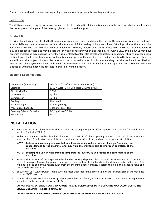Contact your local health department regarding its regulations for proper mix handling and storage.

#### **Feed Tube**

The XF124 uses a metering device, known as a feed tube, to feed a ratio of liquid mix and air into the freezing cylinder, and to reduce the frozen product rising out of the freezing cylinder back into the hopper.

#### **Produ**c**t Mix**

Freezing characteristics are affected by the amount of sweeteners, solids, and alcohol in the mix. The amount of sweeteners and solids is called BRIX and can be measured with a refractometer. A BRIX reading of between 11 and 16 will provide optimum machine operation. Mixes with this BRIX level will freeze down to a smooth, uniform consistency. Mixes with a BRIX measurement above 16 may take longer to freeze and may be soft and/or wet in consistency when dispensed. Mixes with a BRIX level below 11 may have larger ice crystals and may dispense slower than usual. Alcohol content also affects product freezing characteristics, as a higher alcohol content lowers the freezing temperature of the mix and may prevent the machine from cooling the mix to the temperature where the mix will be at the proper thickness. For maximum output capacity, pre-chill mix before adding it to the machine. Pre-chilled mix reduces the cooling system workload and speeds the initial freeze time. It is normal for output capacity to decrease when warm mix is added or when the machine is operated in a warm or humid location.

#### **Machine Specifications**

| Dimensions (H x W x D)            | 26.5" x 13" x 29" (67 cm x 33 cm x 74 cm)   |
|-----------------------------------|---------------------------------------------|
| Electrical                        | 115V / 60Hz / 1 PH Dedicated 15 Amp circuit |
| Circuit NEMA #                    | $5-15R$                                     |
| Drive Motor                       | $1/2$ hp,                                   |
| Compressor                        | $3/4$ hp                                    |
| Cooling                           | Air-cooled                                  |
| <b>Actual Weight</b>              | 175 lbs (79.4 kg)                           |
| Mix Hopper Capacity               | 5 gallons (18.9 liters)                     |
| <b>Freezing Cylinder Capacity</b> | 1-1/2 gallons (5.7 liters)                  |
| Refrigerant                       | R404a                                       |

## **INSTALLATION**

- 1. Place the XF124 on a level counter that is stable and strong enough to safely support the machine's full weight with mix in it (typically 250 lbs).
- 2. Make sure machine is to be placed in a location that is within 6' of a properly grounded circuit and allows adequate space (at least 6 inches) on each of the left, right, and back sides of the machine for proper air circulation.
	- **NOTE: Failure to allow adequate ventilation will substantially reduce the machine's performance, may cause damage to the machine, and may void the warranty due to improper operation of the machine.**
	- **NOTE: Locating the unit in high ambient temperatures (over 90°F) will reduce the performance of the machine.**
- 3. Reverse the position of the dispense valve handle. During shipment the handle is positioned close to the unit to prevent damage. Remove the pin on the dispense valve and rotate the handle in the dispense valve half a turn. This will position the end of the handle away from the machine about 4 inches. Replace the pin in the dispense valve and the valve is ready for use.
- 4. Be sure ON-OFF-CLEAN switch (toggle switch located underneath the lighted sign on the left front side of the machine) is in the "OFF" position.
- 5. Connect the power cord directly to a properly grounded 120V/60Hz, 20 Amp DEDICATED circuit. No other equipment should be on the same circuit as the XF124.

#### **DO NOT USE AN EXTENSION CORD TO POWER THE XF124 OR DAMAGE TO THE MACHINE MAY OCCUR DUE TO THE VOLTAGE DROP IN THE EXTENSION CORD.**

**DO NOT MODIFY THE POWER CORD OR PLUG IN ANY WAY OR SEVERE BODILY INJURY CAN OCCUR.**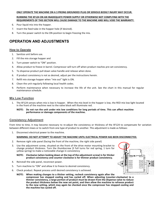#### **ONLY OPERATE THE MACHINE ON A 3 PRONG GROUNDED PLUG OR SERIOUS BODILY INJURY MAY OCCUR.**

#### **RUNNING THE XF124 ON AN INADEQUATE POWER SUPPLY OR OTHERWISE NOT COMPLYING WITH THE REQUIREMENTS OF THIS SECTION WILL CAUSE DAMAGE TO THE MACHINE AND WILL VOID THE WARRANTY.**

- 6. Pour liquid mix into the hopper.
- 7. Insert the feed tube in the hopper hole (if desired).
- 8. Turn the power switch to the ON position to begin freezing the mix.

## **OPERATION AND ADJUSTMENTS**

#### **How to Operate**

- 1. Sanitize unit before use.
- 2. Fill the mix storage hopper and
- 3. Turn power switch to "ON" position.
- 4. Allow product to freeze in barrel. Compressor will turn off when product reaches pre-set consistency.
- 5. To dispense product pull down valve handle and release when done.
- 6. If product consistency is not as desired, adjust per the instructions herein.
- 7. Refill mix storage hopper when "mix out" light is ON.
- 8. Clean the unit regularly following local health codes.
- 9. Perform maintenance when necessary to increase the life of the unit. See the chart in this manual for regular maintenance schedule.

#### **Mix Low Function**

1. The XF124 senses when mix is low in hopper. When the mix level in the hopper is low, the RED mix low light located in the front of the machine next to the valve block will illuminate red.

#### **NOTE: Do not run the unit under mix low conditions for long periods of time. This can affect machine performance or damage components of the machine.**

#### **Consistency Adjustment**

From time to time, it may become necessary to re-adjust the consistency or thickness of the XF124 to compensate for variation between different mixes or to switch from one type of product to another. This adjustment is made as follows:

1. Disconnect electrical power to the machine.

#### **WARNING: DO NOT ATTEMPT TO ADJUST THE MACHINE UNTIL ELECTRICAL POWER HAS BEEN DISCONNECTED.**

- 2. Remove right side panel (facing the front of the machine, the right side panel)
- 3. Use the adjustment screw, situated on the front of the drive motor mounting bracket to change product thickness. Turn the thumbscrew (3 full turns for red spring, 1 turn for yellow spring) to make a noticeable change in consistency

#### **NOTE: Clockwise (when looking down at the top of the adjustment screw) is for thicker product consistency and counter clockwise is for thinner product consistency.**

- 4. Reinstall the side panel, reconnect power.
- 5. Turn machine to "ON" and allow it to freeze to desired consistency.
- 6. Check product. Repeat process until desired consistency is achieved.
	- **NOTE: When making changes to a thicker setting, recheck consistency again after the compressor has stopped cooling and has cycled off. When adjusting (counter-clockwise) to a thinner consistency, a large portion of product must be drawn from the dispense valve to reduce the product thickness below the new set point, and then allow the machine to refreeze product to the new setting, which may again be checked once the compressor has stopped cooling and the machine has cycled off.**

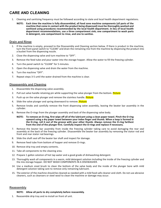# **CARE AND CLEANING**

- 1. Cleaning and sanitizing frequency must be followed according to state and local health department regulations.
	- **NOTE: Each time the machine is fully disassembled, all food zone machine components (all parts of the machine that come in contact with the product being dispensed) must be thoroughly washed and sanitized using procedures recommended by the local health department. In lieu of local health department recommendations, use a three compartment sink; one compartment to wash parts in detergent, one compartment to rinse, and one to sanitize.**

#### **Drain and Rinse**

- 1. If the machine is empty, proceed to the Disassembly and Cleaning section below. If there is product in the machine, turn the front panel switch to "CLEAN" and drain the remaining mix from the machine by dispensing the product into a bucket from the dispensing nozzle.
- 2. Close the dispensing valve and turn machine to "OFF".
- 3. Remove the feed tube and pour water into the storage hopper. Allow the water to fill the freezing cylinder.
- 4. Turn the panel switch to "CLEAN" for 5 minutes.
- 5. Open the dispensing valve and drain the water from the machine.
- 6. Turn the machine "OFF".
- 7. Repeat steps 3-5 until the water drained from the machine is clear.

#### **Disassembly and Cleaning**

- 1. Disassemble the dispensing valve assembly.
- 2. Pull out valve handle retaining pin while supporting the valve plunger from the bottom. Picture
- 3. Push up on the valve plunger and remove the stainless handle. Picture
- 4. Slide the valve plunger and spring downward to remove. Picture
- 5. Remove knobs and carefully remove the front dispensing valve assembly, leaving the beater bar assembly in the cylinder.
- 6. Remove the O-rings from the plunger assembly and back of the dispensing valve body.
	- **NOTE: To remove an O-ring, first wipe off all of the lubricant using a clean paper towel. Pinch the O-ring upward using a dry paper towel between your index finger and thumb. When a loop is formed in the O-ring, roll it out of the groove with your other thumb. Always remove the O-ring farthest from the end of the plunger first. Carefully inspect the O-rings and replace if necessary.**
- 7. Remove the beater bar assembly from inside the freezing cylinder taking care to avoid damaging the rear seal assembly at the back of the freezing cylinder. Disassemble the beater bar assembly by removing the stator rod and front and rear stator rod bearings.
- 8. Slide the shaft seal off the beater bar shaft and inspect for damage.
- 9. Remove feed tube from bottom of hopper and remove O-rings.
- 10. Remove drip tray and empty contents.
- 11. Take all components to the cleaning area.
- 12. Prepare 1 gallon solution of hot tap water and a good grade of dishwashing detergent.
- 13. Thoroughly wash all components in a warm, mild detergent solution including the inside of the freezing cylinder and the mix storage hopper. DO NOT WASH COMPONENTS IN A DISHWASHER.
- 14. Use a medium sized brush to clean the bottom of the valve body and the inside of the plunger bore with mild detergent solution taking care to remove only remaining lubricant.
- 15. The exterior of the machine should be cleaned as needed with a mild food safe cleaner and cloth. Do not use abrasive cleaners, such as cleansers or steel wool to clean the machine or damage may occur.

#### **Reassembly**

#### **NOTE: Allow all parts to dry completely before reassembly.**

1. Reassemble drip tray and re-install on front of unit.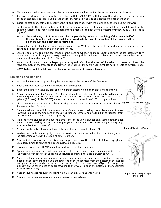- 2. Wet the inner rubber lip of the rotary half of the seal and the back end of the beater bar shaft with water.
- 3. Slide rotary half of assembly onto the beater bar shaft, RUBBER FIRST, with the smooth sealing surface facing the back of the beater bar. (See Figure U). Be sure the rotary half is fully seated against the shoulder of the shaft.
- 4. Insert the stationary half of the seal into the ribbed rubber boot with the polished surface facing out (forward).
- 5. Lightly lubricate the ribbed rubber boot of the stationary ceramic seal (taking care not to get any lubricant on the polished surface) and insert it straight back into the recess at the back of the freezing cylinder, RUBBER FIRST. (See Figure V)
	- **NOTE: The stationary half of the seal must be completely dry before reassembling. If the circular half of the seal is white, make sure that the grooved side is toward the rubber. If the circular half is black, be sure the glossy side is facing out.**
- 6. Reassemble the beater bar assembly, as shown in Figure W. Insert the larger front and smaller rear white plastic bearings into beater bar, then slip in the stator rod.
- 7. Carefully and slowly guide the beater bar into the freezing cylinder, taking care not to damage the seal assembly. Turn beater bar shaft until it engages the square drive coupling. Slide the beater bar back into the cylinder so that the two smooth sealing surfaces meet. (See Figure X)
- 8. Inspect and lightly lubricate the large square o-ring and refit it into the back of the valve block assembly. Install the valve assembly on the front studs and tighten the knobs until they are finger tight. Do not use tools to tighten knobs.

**NOTE: Failure to lightly lubricate the large o-ring can result in product leakage.**

#### **Sanitizing and Refilling**

- 1. Reassemble feeduretor by installing the two o-rings at the bottom of the feed tube.
- 2. Place the feeduretor assembly in the bottom of the hopper.
- 3. Install the o-rings on valve plunger and lay plunger assembly on a clean piece of paper towel.
- 4. Prepare a minimum of 2.5 gallons (9.5 liters) of sanitizing solution (Kay-5 Sanitizer/Cleaner or equivalent) following the manufacturer's instructions. NOTE: Add 1 ounce of Kay-5 to 2.5 gallons (9.5 liters) of 120°F (50°C) water to achieve a concentration of 100 parts per million.
- 5. Dip a medium sized brush into the sanitizing solution and sanitize the inside bore of the dispensing valve. (Figure Y)
- 6. Place a small amount of lubricant onto a piece of clean paper toweling. Use a clean piece of paper toweling to pick up the small end of the valve plunger assembly. Apply a thin film of lubricant from the other piece of paper toweling. (Figure Z)
- 7. Slide the valve plunger spring over the small end of the valve plunger and, using another clean piece of paper toweling, pick up the valve plunger at the outlet end and insert plunger and spring into the valve body. (Figure AA)
- 8. Push up on the valve plunger and insert the stainless steel handle. (Figure BB)
- 9. Holding the handle down slightly so that the hole in the handle and valve block are aligned, insert the dispensing valve handle retaining pin. (Figure CC)
- 10. Pour sanitizing solution into the mix storage hopper and allow the solution to fill freezing cylinder. Use a large brush to sanitize all hopper surfaces. (Figure DD)
- 11. Turn panel switch to "CLEAN" and allow machine to run for 5 minutes.
- 12. Open dispensing valve and drain solution. Allow the beater bar to push remaining sanitizer out of the freezing cylinder. Once the sanitizing solution is drained, turn panel switch to "OFF".
- 13. Place a small amount of sanitary lubricant onto another piece of clean paper toweling. Use a clean piece of paper toweling to pick up the large end of the feeduretor from the bottom of the hopper taking care not to touch the sanitized feeduretor with your bare hand (Figure EE). Apply the lubricant on the other piece of paper toweling to the two o-rings on the bottom of the feeduretor assembly (Figure EE).
- 14. Place the lubricated feeduretor assembly on a clean piece of paper toweling.
- 15. Prepare fresh product according to manufacturer's instructions.



**Figure Y** Sanitize Valve Body



**Figure Z** Lubricate Plunger



**Figure AA** Installing Plunger and Spring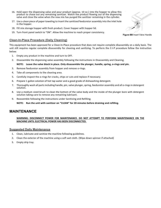- 16. Hold open the dispensing valve and pour product (approx. 10 oz.) into the hopper to allow this product to chase out any remaining sanitizer. Watch the product flowing out of the dispensing valve and close the valve when the new mix has purged the sanitizer remaining in the cylinder.
- 17. Use a clean piece of paper toweling to insert the sanitized feeduretor assembly into the inlet hole in the hopper.
- 18. Fill mix storage hopper with fresh product. Cover hopper with hopper lid.
- 19. Turn front panel switch to "ON". Allow the machine to reach proper consistency.

#### **Clean-In-Place Procedure (Daily Cleaning)**

This equipment has been approved for a Clean-In-Place procedure that does not require complete disassembly on a daily basis. The unit still requires regular complete disassembly for cleaning and sanitizing. To perform the C-I-P procedure follow the instruction below:

- 1. Empty any product in the machine and turn to OFF.
- 2. Disassemble the dispensing valve assembly following the instructions in Disassembly and Cleaning.

#### **NOTE: Leave the valve block in place. Only disassemble the plunger, handle, spring, o-rings and pin.**

- 3. Remove feeduretor assembly from hopper and remove o-rings.
- 4. Take all components to the cleaning area.
- 5. Carefully inspect the o-rings for cracks, chips or cuts and replace if necessary.
- 6. Prepare 1 gallon solution of hot tap water and a good grade of dishwashing detergent.
- 7. Thoroughly wash all parts including handle, pin, valve plunger, spring, feeduretor assembly and all o-rings in detergent solution.
- 8. Use a medium sized brush to clean the bottom of the valve body and the inside of the plunger bore with detergent solution taking care to remove any remaining lubricant.
- 9. Reassemble following the instructions under Sanitizing and Refilling.

**NOTE: Run the unit with sanitizer on "CLEAN" for 20 minutes before draining and refilling.**

## **MAINTENANCE**

#### **WARNING: DISCONNECT POWER FOR MAINTENANCE. DO NOT ATTEMPT TO PERFORM MAINTENANCE ON THE MACHINE UNTIL ELECTRICAL POWER HAS BEEN DISCONNECTED.**

#### **Suggested Daily Maintenance**

- 1. Clean, lubricate and sanitize the machine following guidelines.
- 2. Clean the exterior of the machine using a soft wet cloth. (Wipe down spinner if attached)
- 3. Empty drip tray.



**Figure BB** Insert Valve Handle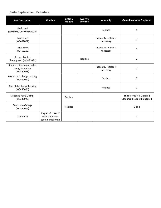#### **Parts Replacement Schedule**

| <b>Part Description</b>                                     | <b>Monthly</b>                                              | Every 3<br><b>Months</b> | Every 6<br><b>Months</b> | <b>Annually</b>                   | <b>Quantities to be Replaced</b>                               |
|-------------------------------------------------------------|-------------------------------------------------------------|--------------------------|--------------------------|-----------------------------------|----------------------------------------------------------------|
| <b>Shaft Seal</b><br>(W0340201 or W0340210)                 |                                                             |                          |                          | Replace                           | 1                                                              |
| Drive Shaft<br>(W0451067)                                   |                                                             |                          |                          | Inspect & replace if<br>necessary | $\mathbf{1}$                                                   |
| <b>Drive Belts</b><br>(W0450209)                            |                                                             |                          |                          | Inspect & replace if<br>necessary | $\mathbf{1}$                                                   |
| Scraper blades<br>(if equipped) (W1431084)                  |                                                             |                          | Replace                  |                                   | $\overline{2}$                                                 |
| Square cut o-ring on valve<br>body/face plate<br>(W0340055) |                                                             |                          |                          | Inspect & replace if<br>necessary | 1                                                              |
| Front stator flange bearing<br>(W0430032)                   |                                                             |                          |                          | Replace                           | $\mathbf{1}$                                                   |
| Rear stator flange bearing<br>(W0430024)                    |                                                             |                          |                          | Replace                           | $\mathbf 1$                                                    |
| Dispense valve O-rings<br>(W0340022)                        |                                                             | Replace                  |                          |                                   | Thick Product Plunger: 2<br><b>Standard Product Plunger: 3</b> |
| Feed tube O-rings<br>(W0340011)                             |                                                             | Replace                  |                          |                                   | 2 or 3                                                         |
| Condenser                                                   | Inspect & clean if<br>necessary (Air-<br>cooled units only) |                          |                          |                                   | 1                                                              |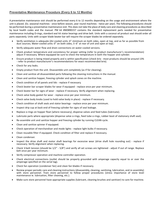#### **Preventative Maintenance Procedure (Every 6 to 12 Months)**

A preventative maintenance visit should be performed every 6 to 12 months depending on the usage and environment where the unit is placed. (Ex. seasonal machines - once before season, year round machines - twice per year). The following procedures should be performed during a preventative maintenance visit. This does not take the place of daily care and cleaning procedures as described by local health codes and the manual. PM kit #W0890157 contains the standard replacement parts needed for preventative maintenance including O-rings, standard seal kit stator bearings and drive belt. Units with a coconut oil product seal should order all parts separately. Units with scraper blade beater bar will require the scraper blades be ordered separately.

- Verify ventilation is adequate (Air-cooled units: 6" minimum on both sides, open at top, and as far as possible from dust sources; Water-cooled units: 0" on both sides, 3 -6" at rear of unit and open at top).
- Verify adequate water flow and drain connections on water-cooled versions.
- Check product temperature and consistency for proper setting (refer to product manufacturer's recommendation) adjust if necessary. Where equipped be sure to check the temperature in both the hopper and cylinder.
- Ensure product is being mixed properly and is within specification (check brix most products should be around 13% - refer to product manufacturer's recommendations for exact recommended brix).
- Check for any leaks.
- Empty product from the unit. Disassemble unit completely (as if for cleaning).
- Clean and sanitize all disassembled parts following the cleaning instructions in the manual.
- Clean and sanitize hopper, freezing cylinder and splash zones on the machine.
- Check condition of all panels and lids replace if necessary.
- Check beater bar scraper blades for wear if equipped replace once per year minimum.
- Check beater bar for signs of wear replace if necessary. Verify alignment when replacing.
- Check valve body gasket for wear replace once per year minimum.
- Check valve body knobs (used to hold valve body in place) replace if necessary.
- Check condition of shaft seals and stator bearings replace once per year minimum.
- Inspect drip cup at back end of freezing cylinder for signs of seal leakage.
- Replace o-rings on hopper float (where necessary), dispense valves and feed tubes (lubricate).
- Lubricate parts where appropriate (dispense valve o-rings, feed tube o-rings, rubber boot of stationary shaft seal).
- Re-assemble unit and sanitize hopper and freezing cylinder by running CLEAN cycle.
- Clean and sanitize spinner if equipped.
- Check operation of merchandiser and mode lights replace light bulbs if necessary.
- Clean reusable filter if equipped. Check condition of filter and replace if necessary.
- Clean condenser.
- Inspect the drive shaft and motor shaft bearings for excessive wear (drive shaft hole rounding out) replace if necessary. Verify alignment when replacing.
- Check V-belt tension (should be 1/2" 5/8") and verify all set screws are tightened adjust if out of range. Replace belt once per year minimum.
- Verify compressor operation and machine controller operation.
- Check electrical connections (outlet should be properly grounded with amperage capacity equal to or over the amperage specified on the serial tag).
- Check fan operation (condenser fan) and clean fan blades if necessary.
- Review proper periodic care and cleaning instructions (disassembly, cleaning, sanitizing, lubrication, and re-assembly) with store personnel. Train store personnel to follow proper procedures (stress importance of store level maintenance ie. lubrication, filter cleaning, etc.).
- Make sure store personnel have appropriate supplies (lubricant, cleaning brushes and sanitizer) to care for machine.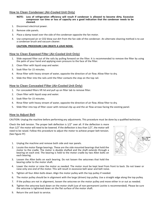#### **How to Clean Condenser (Air-Cooled Unit Only)**

- **NOTE: Loss of refrigeration efficiency will result if condenser is allowed to become dirty. Excessive compressor run time or loss of capacity are a good indication that the condenser needs to be cleaned.**
- 1. Disconnect electrical power.
- 2. Remove side panels.
- 3. Place a damp towel over the side of the condenser opposite the fan motor.
- 4. Use compressed air or CO2 blow out dirt from the fan side of the condenser. An alternate cleaning method is to use a condenser brush and vacuum cleaner.

#### **CAUTION: PROCEDURE CAN CREATE A LOUD NOISE.**

#### **How to Clean Exposed Filter (Air-Cooled Unit Only)**

- 1. Slide exposed filter out of the rails by pulling forward on the filter. It is recommended to remove the filter by using the palm of your hand and applying even pressure to the face of the filter.
- 2. Clean filter with liquid soap and water.
- 3. Soak filter for 15 minutes.
- 4. Rinse filter with heavy stream of water, opposite the direction of air flow. Allow filter to dry.
- 5. Slide the filter into the rails until the filter contacts the stop on the top rail.

#### **How to Clean Concealed Filter (Air-Cooled Unit Only)**

- 1. For concealed filters lift lid and pull up on filter tab to remove filter.
- 2. Clean filter with liquid soap and water.
- 3. Soak filter for 15 minutes.
- 4. Rinse filter with heavy stream of water, opposite the direction of air flow. Allow filter to dry.
- 5. Slide filter into top of filter cover with removal clip up and the air flow arrows facing the existing panel.

#### **How to Adjust Belt**

CAUTION: Unplug the machine before performing any adjustments. This procedure must be done by a qualified technician.

Check the belt tension. The proper belt deflection is 1/2" over all. If the deflection is more than 1/2" the motor will need to be lowered. If the deflection is less than 1/2", the motor will need to be raised. Follow this procedure to adjust the motor to achieve proper belt tension. (See Figure FF)

- 1. Unplug the machine and remove both side and rear panels.
- 2. Locate the motor flange bearings. These are the side mounted bearings that hold the motor to the cradle. The motor is double shafted and the shaft extends through a bearing on each end. The bearing is held to the motor cradle by two Allen bolts on each bearing.
- 3. Loosen the Allen bolts on each bearing. Do not loosen the setscrews that hold the bearing collar to the motor shaft.
- 4. Lower the motor or raise the motor as needed. The motor must be kept level from front to back. Do not lower or raise only one end of the motor. This will result in excessive belt wear and belt noise.
- 5. Tighten all four Allen bolts down. Align the motor pulley with the top pulley if needed.
- 6. The motor pulley should be in alignment with the large (driven) top pulley. Use a straight edge along the top pulley.
- 7. If the pulleys are not in alignment, loosen the setscrew on the motor pulley and move either in or out as needed.
- 8. Tighten the setscrew back down on the motor shaft (use of non-permanent Loctite is recommended). Please be sure the setscrew is tightened down on the flat surface of the motor shaft.
- 9. Return the unit back to service.

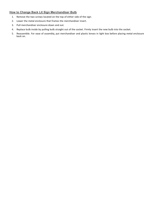#### **How to Change Back Lit Sign Merchandiser Bulb**

- 1. Remove the two screws located on the top of either side of the sign.
- 2. Lower the metal enclosure that frames the merchandiser insert.
- 3. Pull merchandiser enclosure down and out.
- 4. Replace bulb inside by pulling bulb straight out of the socket. Firmly insert the new bulb into the socket.
- 5. Reassemble. For ease of assembly, put merchandiser and plastic lenses in light box before placing metal enclosure back on.